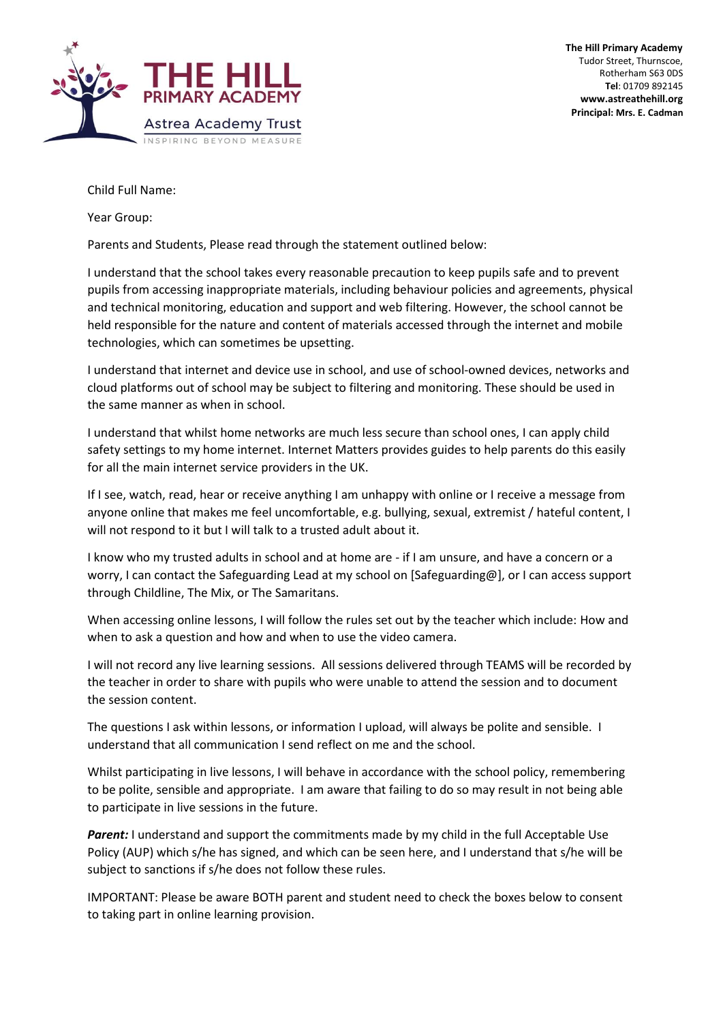

Child Full Name:

Year Group:

Parents and Students, Please read through the statement outlined below:

I understand that the school takes every reasonable precaution to keep pupils safe and to prevent pupils from accessing inappropriate materials, including behaviour policies and agreements, physical and technical monitoring, education and support and web filtering. However, the school cannot be held responsible for the nature and content of materials accessed through the internet and mobile technologies, which can sometimes be upsetting.

I understand that internet and device use in school, and use of school-owned devices, networks and cloud platforms out of school may be subject to filtering and monitoring. These should be used in the same manner as when in school.

I understand that whilst home networks are much less secure than school ones, I can apply child safety settings to my home internet. Internet Matters provides guides to help parents do this easily for all the main internet service providers in the UK.

If I see, watch, read, hear or receive anything I am unhappy with online or I receive a message from anyone online that makes me feel uncomfortable, e.g. bullying, sexual, extremist / hateful content, I will not respond to it but I will talk to a trusted adult about it.

I know who my trusted adults in school and at home are - if I am unsure, and have a concern or a worry, I can contact the Safeguarding Lead at my school on [Safeguarding@], or I can access support through Childline, The Mix, or The Samaritans.

When accessing online lessons, I will follow the rules set out by the teacher which include: How and when to ask a question and how and when to use the video camera.

I will not record any live learning sessions. All sessions delivered through TEAMS will be recorded by the teacher in order to share with pupils who were unable to attend the session and to document the session content.

The questions I ask within lessons, or information I upload, will always be polite and sensible. I understand that all communication I send reflect on me and the school.

Whilst participating in live lessons, I will behave in accordance with the school policy, remembering to be polite, sensible and appropriate. I am aware that failing to do so may result in not being able to participate in live sessions in the future.

**Parent:** I understand and support the commitments made by my child in the full Acceptable Use Policy (AUP) which s/he has signed, and which can be seen here, and I understand that s/he will be subject to sanctions if s/he does not follow these rules.

IMPORTANT: Please be aware BOTH parent and student need to check the boxes below to consent to taking part in online learning provision.